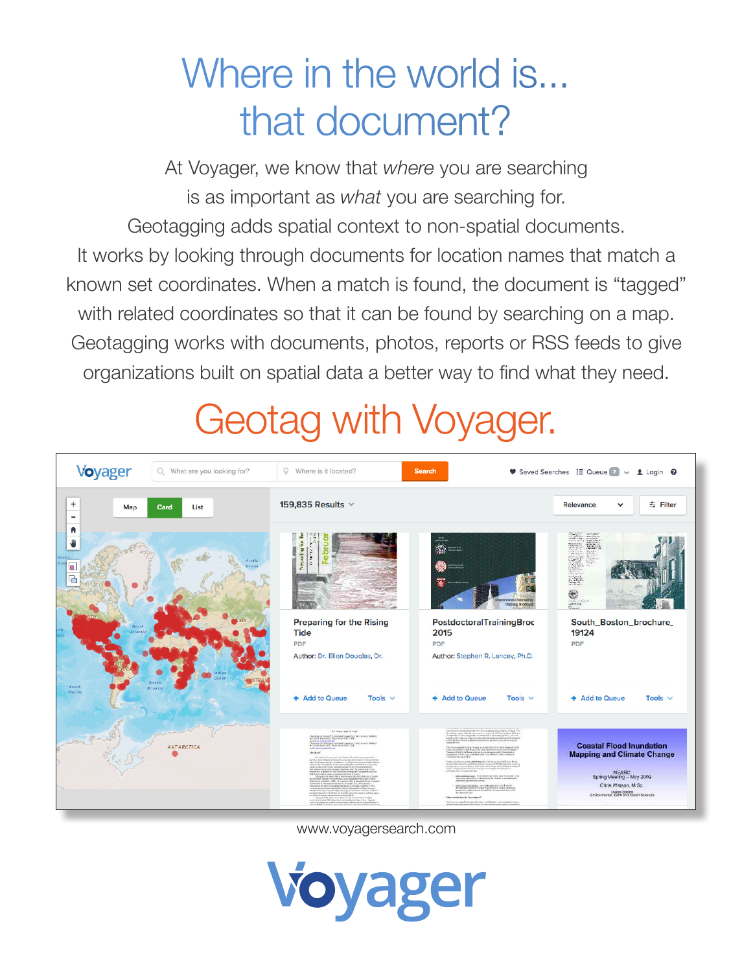# Where in the world is... that document?

At Voyager, we know that *where* you are searching is as important as *what* you are searching for. Geotagging adds spatial context to non-spatial documents. It works by looking through documents for location names that match a known set coordinates. When a match is found, the document is "tagged" with related coordinates so that it can be found by searching on a map. Geotagging works with documents, photos, reports or RSS feeds to give organizations built on spatial data a better way to find what they need.

## Geotag with Voyager.



www.voyagersearch.com